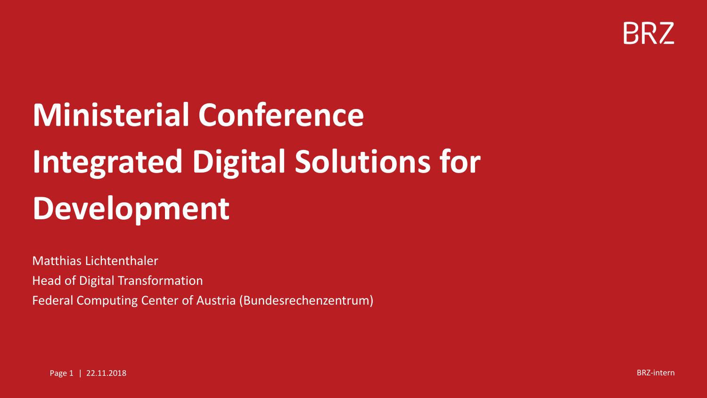

# **Ministerial Conference Integrated Digital Solutions for Development**

Matthias Lichtenthaler Head of Digital Transformation Federal Computing Center of Austria (Bundesrechenzentrum)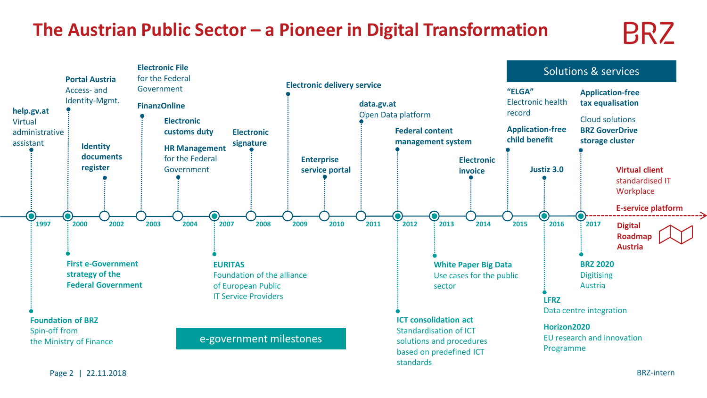### **The Austrian Public Sector – a Pioneer in Digital Transformation**

# **BRZ**

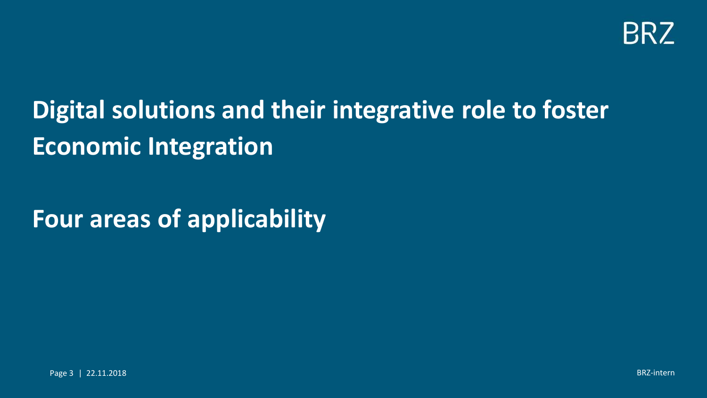

# **Digital solutions and their integrative role to foster Economic Integration**

# **Four areas of applicability**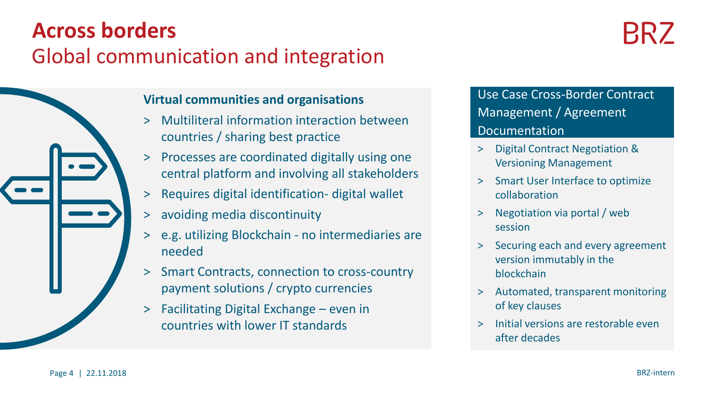### Global communication and integration **Across borders**

RR /

### **Virtual communities and organisations**

- > Multiliteral information interaction between countries / sharing best practice
- > Processes are coordinated digitally using one central platform and involving all stakeholders
- > Requires digital identification- digital wallet
- > avoiding media discontinuity
- > e.g. utilizing Blockchain no intermediaries are needed
- > Smart Contracts, connection to cross-country payment solutions / crypto currencies
- > Facilitating Digital Exchange even in countries with lower IT standards

Use Case Cross-Border Contract Management / Agreement Documentation

- > Digital Contract Negotiation & Versioning Management
- > Smart User Interface to optimize collaboration
- > Negotiation via portal / web session
- > Securing each and every agreement version immutably in the blockchain
- > Automated, transparent monitoring of key clauses
- > Initial versions are restorable even after decades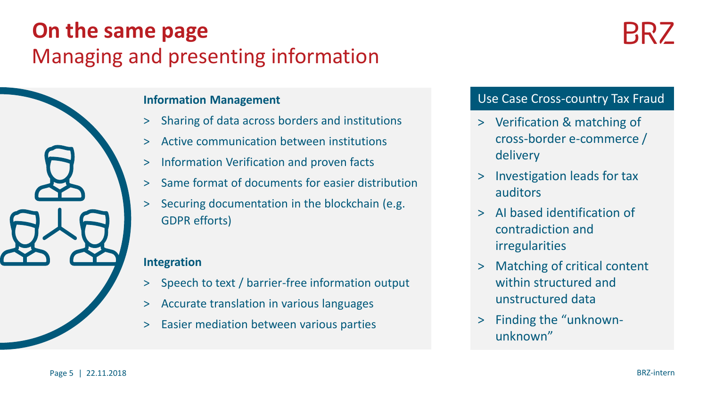### Managing and presenting information **On the same page**



#### **Information Management**

- > Sharing of data across borders and institutions
- > Active communication between institutions
- > Information Verification and proven facts
- > Same format of documents for easier distribution
- > Securing documentation in the blockchain (e.g. GDPR efforts)

#### **Integration**

- > Speech to text / barrier-free information output
- > Accurate translation in various languages
- > Easier mediation between various parties

#### Use Case Cross-country Tax Fraud

- > Verification & matching of cross-border e-commerce / delivery
- > Investigation leads for tax auditors
- > AI based identification of contradiction and irregularities
- > Matching of critical content within structured and unstructured data
- > Finding the "unknownunknown"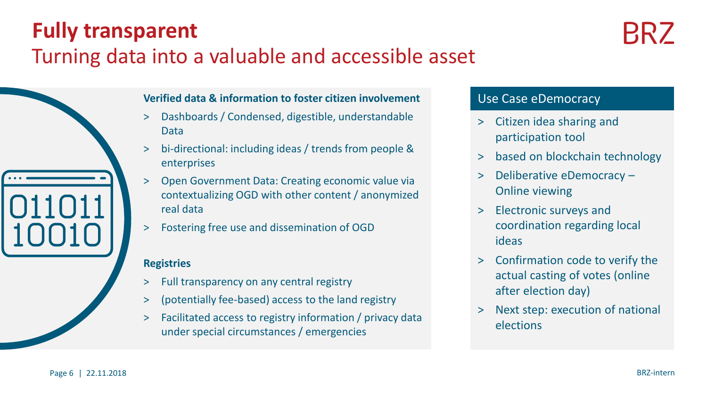### **Fully transparent**

### Turning data into a valuable and accessible asset

#### **Verified data & information to foster citizen involvement**

- > Dashboards / Condensed, digestible, understandable Data
- > bi-directional: including ideas / trends from people & enterprises
- > Open Government Data: Creating economic value via contextualizing OGD with other content / anonymized real data
- > Fostering free use and dissemination of OGD

#### **Registries**

- > Full transparency on any central registry
- > (potentially fee-based) access to the land registry
- > Facilitated access to registry information / privacy data under special circumstances / emergencies

#### Use Case eDemocracy

- > Citizen idea sharing and participation tool
- > based on blockchain technology
- > Deliberative eDemocracy Online viewing
- > Electronic surveys and coordination regarding local ideas
- > Confirmation code to verify the actual casting of votes (online after election day)
- > Next step: execution of national elections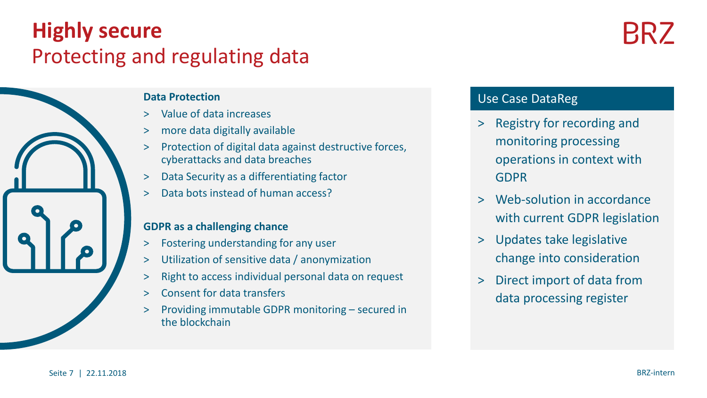### Protecting and regulating data **Highly secure**



#### **Data Protection**

- > Value of data increases
- > more data digitally available
- > Protection of digital data against destructive forces, cyberattacks and data breaches
- > Data Security as a differentiating factor
- > Data bots instead of human access?

#### **GDPR as a challenging chance**

- > Fostering understanding for any user
- > Utilization of sensitive data / anonymization
- > Right to access individual personal data on request
- > Consent for data transfers
- > Providing immutable GDPR monitoring secured in the blockchain

#### Use Case DataReg

- > Registry for recording and monitoring processing operations in context with GDPR
- > Web-solution in accordance with current GDPR legislation
- > Updates take legislative change into consideration
- > Direct import of data from data processing register

RR /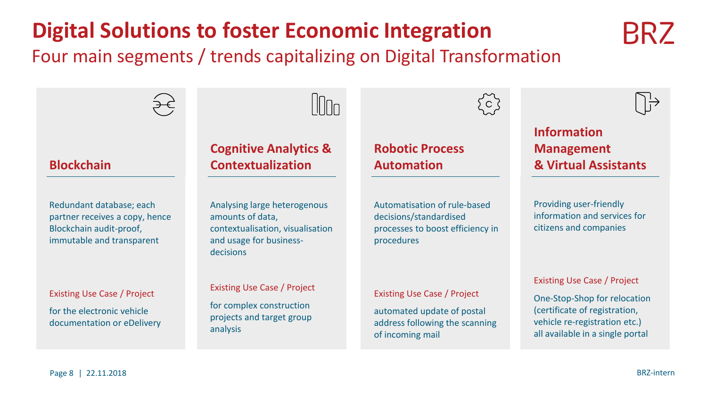## **Digital Solutions to foster Economic Integration**

Four main segments / trends capitalizing on Digital Transformation

I IMn

#### **Blockchain**

Redundant database; each partner receives a copy, hence Blockchain audit-proof, immutable and transparent

#### Existing Use Case / Project

for the electronic vehicle documentation or eDelivery

#### **Cognitive Analytics & Contextualization**

Analysing large heterogenous amounts of data, contextualisation, visualisation and usage for businessdecisions

#### Existing Use Case / Project

for complex construction projects and target group analysis

#### **Robotic Process Automation**

Automatisation of rule-based decisions/standardised processes to boost efficiency in procedures

#### Existing Use Case / Project

automated update of postal address following the scanning of incoming mail

### **Management & Virtual Assistants**

**Information** 

Providing user-friendly information and services for citizens and companies

Existing Use Case / Project

One-Stop-Shop for relocation (certificate of registration, vehicle re-registration etc.) all available in a single portal





 $\bigcap_{i=1}^{n}$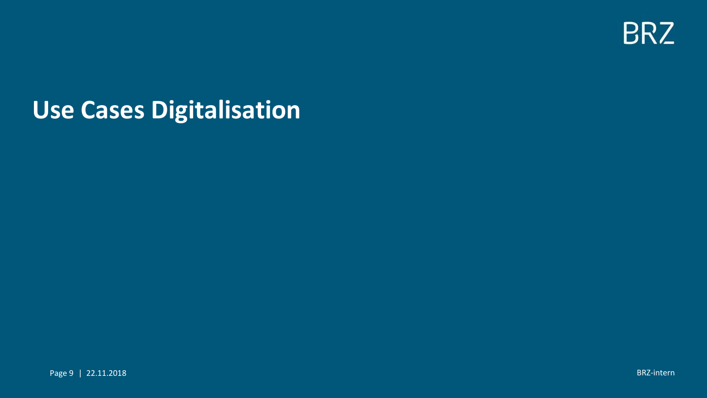

# **Use Cases Digitalisation**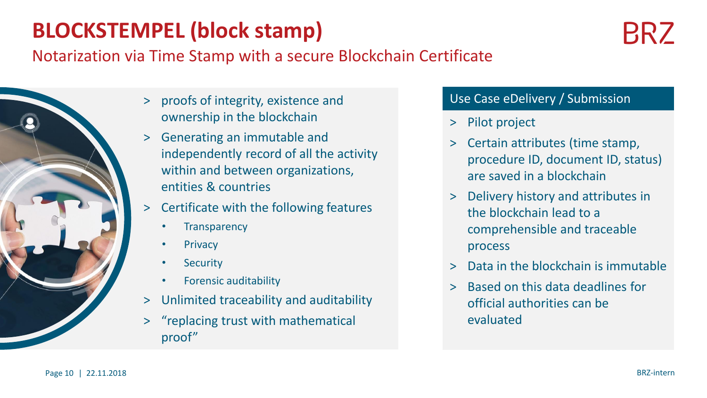### **BLOCKSTEMPEL (block stamp)**

### Notarization via Time Stamp with a secure Blockchain Certificate



- > proofs of integrity, existence and ownership in the blockchain
- > Generating an immutable and independently record of all the activity within and between organizations, entities & countries
- > Certificate with the following features
	- **Transparency**
	- **Privacy**
	- Security
	- Forensic auditability
- > Unlimited traceability and auditability
- > "replacing trust with mathematical proof"

#### Use Case eDelivery / Submission

- > Pilot project
- > Certain attributes (time stamp, procedure ID, document ID, status) are saved in a blockchain
- > Delivery history and attributes in the blockchain lead to a comprehensible and traceable process
- > Data in the blockchain is immutable
- > Based on this data deadlines for official authorities can be evaluated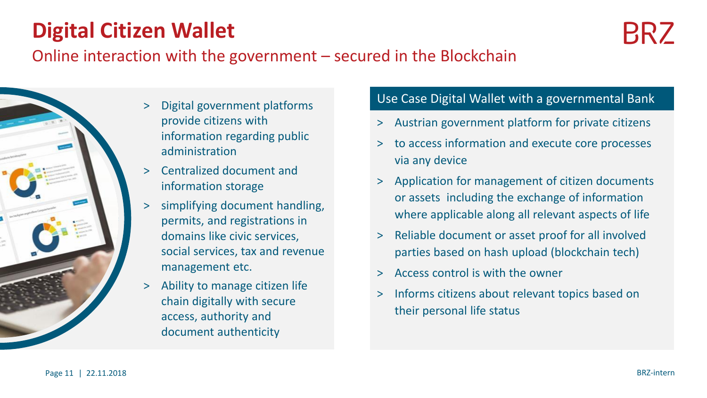### **Digital Citizen Wallet**

### Online interaction with the government – secured in the Blockchain



- > Digital government platforms provide citizens with information regarding public administration
- > Centralized document and information storage
- > simplifying document handling, permits, and registrations in domains like civic services, social services, tax and revenue management etc.
- > Ability to manage citizen life chain digitally with secure access, authority and document authenticity

#### Use Case Digital Wallet with a governmental Bank

- > Austrian government platform for private citizens
- > to access information and execute core processes via any device
- > Application for management of citizen documents or assets including the exchange of information where applicable along all relevant aspects of life
- > Reliable document or asset proof for all involved parties based on hash upload (blockchain tech)
- > Access control is with the owner
- > Informs citizens about relevant topics based on their personal life status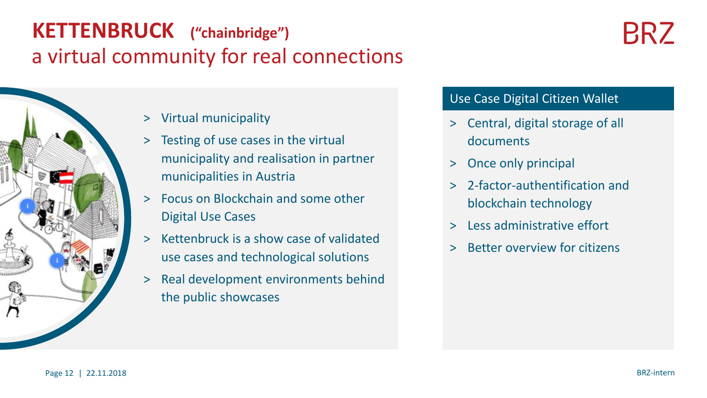### a virtual community for real connections **KETTENBRUCK ("chainbridge")**



- > Virtual municipality
- > Testing of use cases in the virtual municipality and realisation in partner municipalities in Austria
- > Focus on Blockchain and some other Digital Use Cases
- > Kettenbruck is a show case of validated use cases and technological solutions
- > Real development environments behind the public showcases

#### Use Case Digital Citizen Wallet

- > Central, digital storage of all documents
- > Once only principal
- > 2-factor-authentification and blockchain technology
- > Less administrative effort
- > Better overview for citizens

BRZ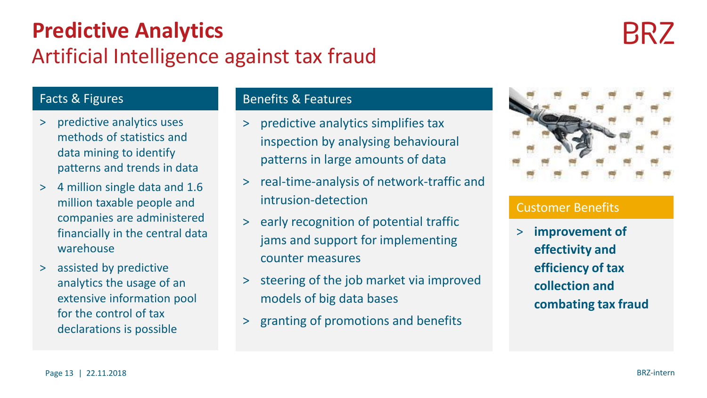### Artificial Intelligence against tax fraud **Predictive Analytics**

# **BRZ**

#### Facts & Figures

- > predictive analytics uses methods of statistics and data mining to identify patterns and trends in data
- > 4 million single data and 1.6 million taxable people and companies are administered financially in the central data warehouse
- > assisted by predictive analytics the usage of an extensive information pool for the control of tax declarations is possible

#### Benefits & Features

- > predictive analytics simplifies tax inspection by analysing behavioural patterns in large amounts of data
- > real-time-analysis of network-traffic and intrusion-detection
- > early recognition of potential traffic jams and support for implementing counter measures
- > steering of the job market via improved models of big data bases
- > granting of promotions and benefits



#### Customer Benefits

> **improvement of effectivity and efficiency of tax collection and combating tax fraud**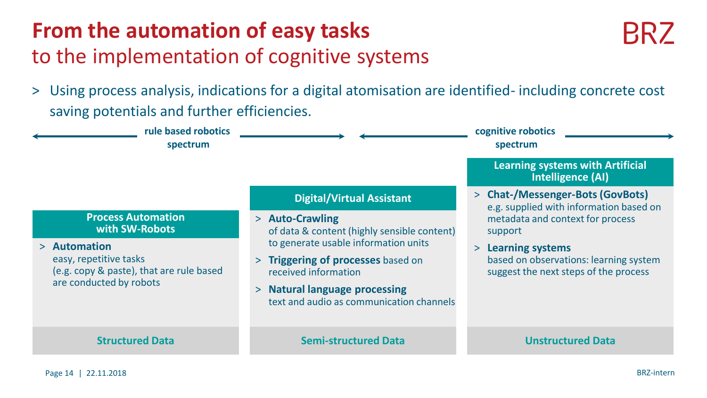### **From the automation of easy tasks** to the implementation of cognitive systems

- **BRZ**
- > Using process analysis, indications for a digital atomisation are identified- including concrete cost saving potentials and further efficiencies.

| rule based robotics<br>spectrum                                                                                                                              |                                                                                                                                                                                                                                                   | cognitive robotics<br>spectrum                                                                                                                       |
|--------------------------------------------------------------------------------------------------------------------------------------------------------------|---------------------------------------------------------------------------------------------------------------------------------------------------------------------------------------------------------------------------------------------------|------------------------------------------------------------------------------------------------------------------------------------------------------|
|                                                                                                                                                              |                                                                                                                                                                                                                                                   | <b>Learning systems with Artificial</b><br><b>Intelligence (AI)</b>                                                                                  |
|                                                                                                                                                              | <b>Digital/Virtual Assistant</b>                                                                                                                                                                                                                  | > Chat-/Messenger-Bots (GovBots)<br>e.g. supplied with information based on                                                                          |
| <b>Process Automation</b><br>with SW-Robots<br>> Automation<br>easy, repetitive tasks<br>(e.g. copy & paste), that are rule based<br>are conducted by robots | > Auto-Crawling<br>of data & content (highly sensible content)<br>to generate usable information units<br>> Triggering of processes based on<br>received information<br>> Natural language processing<br>text and audio as communication channels | metadata and context for process<br>support<br>> Learning systems<br>based on observations: learning system<br>suggest the next steps of the process |
| <b>Structured Data</b>                                                                                                                                       | <b>Semi-structured Data</b>                                                                                                                                                                                                                       | <b>Unstructured Data</b>                                                                                                                             |
|                                                                                                                                                              |                                                                                                                                                                                                                                                   |                                                                                                                                                      |